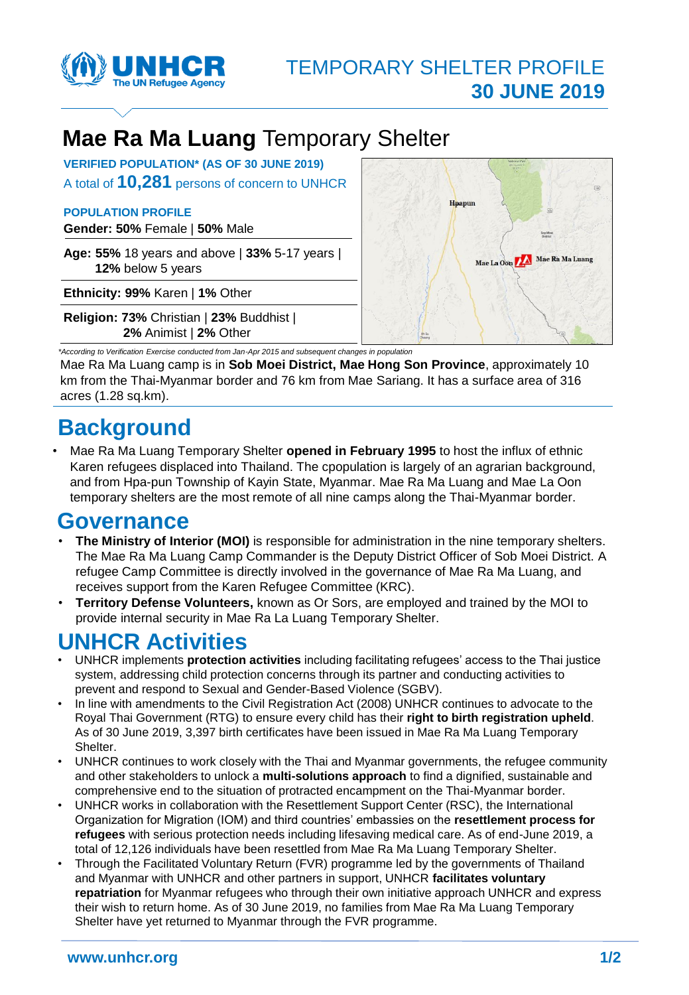

# **Mae Ra Ma Luang** Temporary Shelter

**VERIFIED POPULATION\* (AS OF 30 JUNE 2019)** A total of **10,281** persons of concern to UNHCR

#### **POPULATION PROFILE**

**Gender: 50%** Female | **50%** Male

**Age: 55%** 18 years and above | **33%** 5-17 years | **12%** below 5 years

**Ethnicity: 99%** Karen | **1%** Other

**Religion: 73%** Christian | **23%** Buddhist | **2%** Animist | **2%** Other



*\*According to Verification Exercise conducted from Jan-Apr 2015 and subsequent changes in population*  Mae Ra Ma Luang camp is in **Sob Moei District, Mae Hong Son Province**, approximately 10 km from the Thai-Myanmar border and 76 km from Mae Sariang. It has a surface area of 316 acres (1.28 sq.km).

# **Background**

• Mae Ra Ma Luang Temporary Shelter **opened in February 1995** to host the influx of ethnic Karen refugees displaced into Thailand. The cpopulation is largely of an agrarian background, and from Hpa-pun Township of Kayin State, Myanmar. Mae Ra Ma Luang and Mae La Oon temporary shelters are the most remote of all nine camps along the Thai-Myanmar border.

### **Governance**

- **The Ministry of Interior (MOI)** is responsible for administration in the nine temporary shelters. The Mae Ra Ma Luang Camp Commander is the Deputy District Officer of Sob Moei District. A refugee Camp Committee is directly involved in the governance of Mae Ra Ma Luang, and receives support from the Karen Refugee Committee (KRC).
- **Territory Defense Volunteers,** known as Or Sors, are employed and trained by the MOI to provide internal security in Mae Ra La Luang Temporary Shelter.

## **UNHCR Activities**

- UNHCR implements **protection activities** including facilitating refugees' access to the Thai justice system, addressing child protection concerns through its partner and conducting activities to prevent and respond to Sexual and Gender-Based Violence (SGBV).
- In line with amendments to the Civil Registration Act (2008) UNHCR continues to advocate to the Royal Thai Government (RTG) to ensure every child has their **right to birth registration upheld**. As of 30 June 2019, 3,397 birth certificates have been issued in Mae Ra Ma Luang Temporary Shelter.
- UNHCR continues to work closely with the Thai and Myanmar governments, the refugee community and other stakeholders to unlock a **multi-solutions approach** to find a dignified, sustainable and comprehensive end to the situation of protracted encampment on the Thai-Myanmar border.
- UNHCR works in collaboration with the Resettlement Support Center (RSC), the International Organization for Migration (IOM) and third countries' embassies on the **resettlement process for refugees** with serious protection needs including lifesaving medical care. As of end-June 2019, a total of 12,126 individuals have been resettled from Mae Ra Ma Luang Temporary Shelter.
- Through the Facilitated Voluntary Return (FVR) programme led by the governments of Thailand and Myanmar with UNHCR and other partners in support, UNHCR **facilitates voluntary repatriation** for Myanmar refugees who through their own initiative approach UNHCR and express their wish to return home. As of 30 June 2019, no families from Mae Ra Ma Luang Temporary Shelter have yet returned to Myanmar through the FVR programme.